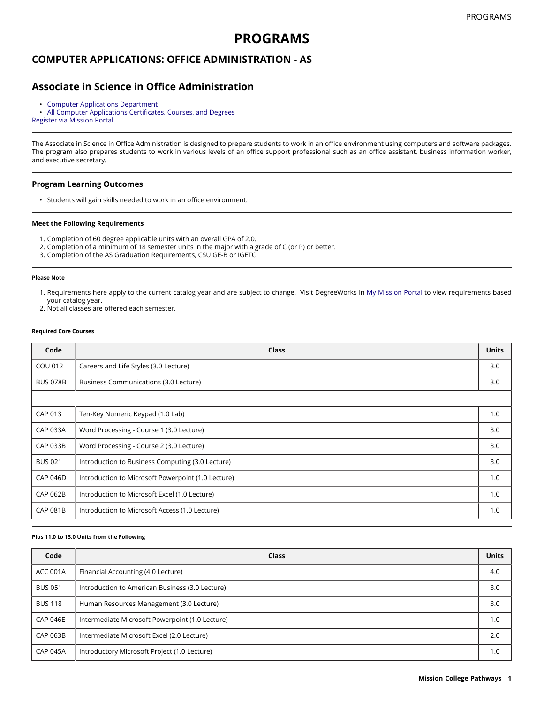# **PROGRAMS**

## **COMPUTER APPLICATIONS: OFFICE ADMINISTRATION - AS**

# **Associate in Science in Office Administration**

• [Computer Applications Department](https://missioncollege.edu/depts/computer-applications/)<br>• All Computer Applications Certificate

• All Computer [Applications](http://majors.missioncollege.edu/current/courses/cap.html) Certificates, Courses, and Degrees [Register via Mission Portal](https://web.wvm.edu/)

The Associate in Science in Office Administration is designed to prepare students to work in an office environment using computers and software packages. The program also prepares students to work in various levels of an office support professional such as an office assistant, business information worker, and executive secretary.

#### **Program Learning Outcomes**

• Students will gain skills needed to work in an office environment.

#### **Meet the Following Requirements**

- 1. Completion of 60 degree applicable units with an overall GPA of 2.0.
- 2. Completion of a minimum of 18 semester units in the major with a grade of C (or P) or better.
- 3. Completion of the AS Graduation Requirements, CSU GE-B or IGETC

#### **Please Note**

- 1. Requirements here apply to the current catalog year and are subject to change. Visit DegreeWorks in [My Mission Portal t](https://web.wvm.edu/#/)o view requirements based your catalog year.
- 2. Not all classes are offered each semester.

#### **Required Core Courses**

| Code            | Class                                              | <b>Units</b> |  |  |
|-----------------|----------------------------------------------------|--------------|--|--|
| COU 012         | Careers and Life Styles (3.0 Lecture)              | 3.0          |  |  |
| <b>BUS 078B</b> | Business Communications (3.0 Lecture)              | 3.0          |  |  |
|                 |                                                    |              |  |  |
| CAP 013         | Ten-Key Numeric Keypad (1.0 Lab)                   | 1.0          |  |  |
| <b>CAP 033A</b> | Word Processing - Course 1 (3.0 Lecture)           | 3.0          |  |  |
| <b>CAP 033B</b> | Word Processing - Course 2 (3.0 Lecture)           | 3.0          |  |  |
| <b>BUS 021</b>  | Introduction to Business Computing (3.0 Lecture)   | 3.0          |  |  |
| <b>CAP 046D</b> | Introduction to Microsoft Powerpoint (1.0 Lecture) | 1.0          |  |  |
| <b>CAP 062B</b> | Introduction to Microsoft Excel (1.0 Lecture)      | 1.0          |  |  |
| <b>CAP 081B</b> | Introduction to Microsoft Access (1.0 Lecture)     | 1.0          |  |  |

#### **Plus 11.0 to 13.0 Units from the Following**

| Code            | Class                                           | <b>Units</b> |
|-----------------|-------------------------------------------------|--------------|
| <b>ACC 001A</b> | Financial Accounting (4.0 Lecture)              | 4.0          |
| <b>BUS 051</b>  | Introduction to American Business (3.0 Lecture) | 3.0          |
| <b>BUS 118</b>  | Human Resources Management (3.0 Lecture)        | 3.0          |
| <b>CAP 046E</b> | Intermediate Microsoft Powerpoint (1.0 Lecture) | 1.0          |
| <b>CAP 063B</b> | Intermediate Microsoft Excel (2.0 Lecture)      | 2.0          |
| <b>CAP 045A</b> | Introductory Microsoft Project (1.0 Lecture)    | 1.0          |